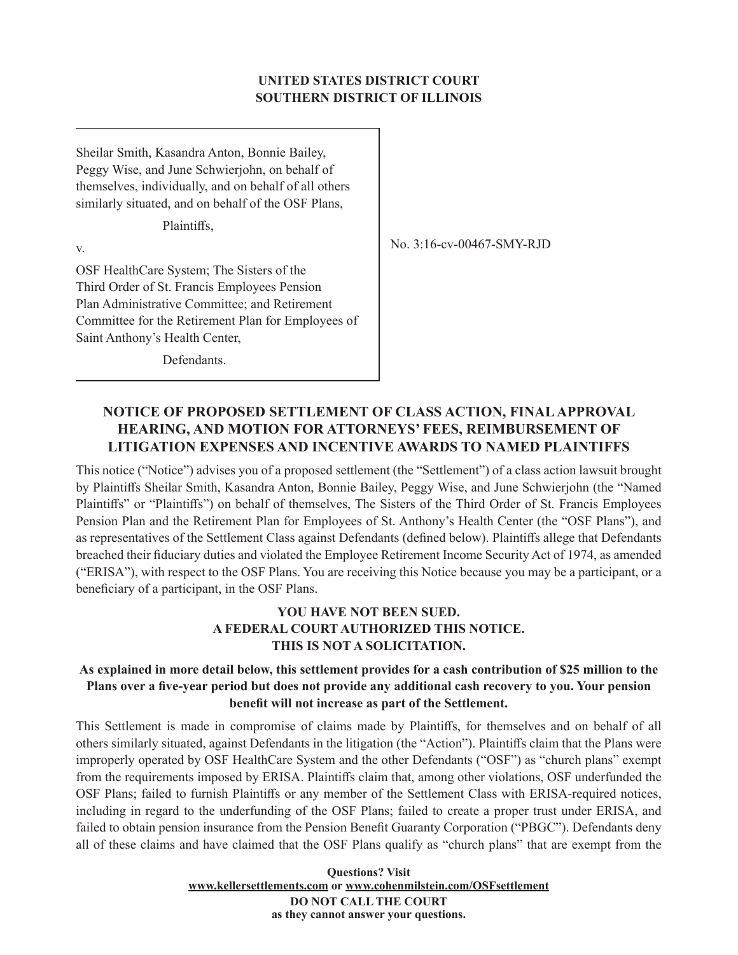### **UNITED STATES DISTRICT COURT SOUTHERN DISTRICT OF ILLINOIS**

Sheilar Smith, Kasandra Anton, Bonnie Bailey, Peggy Wise, and June Schwierjohn, on behalf of themselves, individually, and on behalf of all others similarly situated, and on behalf of the OSF Plans,

Plaintiffs,

v.

OSF HealthCare System; The Sisters of the Third Order of St. Francis Employees Pension Plan Administrative Committee; and Retirement Committee for the Retirement Plan for Employees of Saint Anthony's Health Center,

No. 3:16-cv-00467-SMY-RJD

Defendants.

# **NOTICE OF PROPOSED SETTLEMENT OF CLASS ACTION, FINAL APPROVAL HEARING, AND MOTION FOR ATTORNEYS' FEES, REIMBURSEMENT OF LITIGATION EXPENSES AND INCENTIVE AWARDS TO NAMED PLAINTIFFS**

This notice ("Notice") advises you of a proposed settlement (the "Settlement") of a class action lawsuit brought by Plaintiffs Sheilar Smith, Kasandra Anton, Bonnie Bailey, Peggy Wise, and June Schwierjohn (the "Named Plaintiffs" or "Plaintiffs") on behalf of themselves, The Sisters of the Third Order of St. Francis Employees Pension Plan and the Retirement Plan for Employees of St. Anthony's Health Center (the "OSF Plans"), and as representatives of the Settlement Class against Defendants (defined below). Plaintiffs allege that Defendants breached their fiduciary duties and violated the Employee Retirement Income Security Act of 1974, as amended ("ERISA"), with respect to the OSF Plans. You are receiving this Notice because you may be a participant, or a beneficiary of a participant, in the OSF Plans.

# **YOU HAVE NOT BEEN SUED. A FEDERAL COURT AUTHORIZED THIS NOTICE. THIS IS NOT A SOLICITATION.**

## **As explained in more detail below, this settlement provides for a cash contribution of \$25 million to the Plans over a five-year period but does not provide any additional cash recovery to you. Your pension benefit will not increase as part of the Settlement.**

This Settlement is made in compromise of claims made by Plaintiffs, for themselves and on behalf of all others similarly situated, against Defendants in the litigation (the "Action"). Plaintiffs claim that the Plans were improperly operated by OSF HealthCare System and the other Defendants ("OSF") as "church plans" exempt from the requirements imposed by ERISA. Plaintiffs claim that, among other violations, OSF underfunded the OSF Plans; failed to furnish Plaintiffs or any member of the Settlement Class with ERISA-required notices, including in regard to the underfunding of the OSF Plans; failed to create a proper trust under ERISA, and failed to obtain pension insurance from the Pension Benefit Guaranty Corporation ("PBGC"). Defendants deny all of these claims and have claimed that the OSF Plans qualify as "church plans" that are exempt from the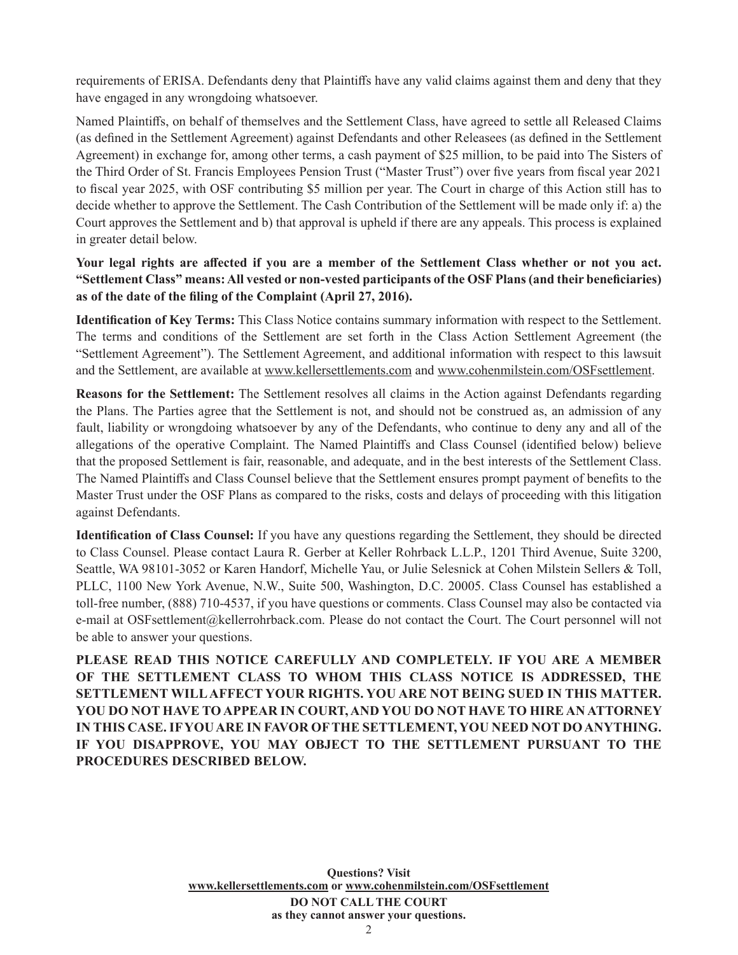requirements of ERISA. Defendants deny that Plaintiffs have any valid claims against them and deny that they have engaged in any wrongdoing whatsoever.

Named Plaintiffs, on behalf of themselves and the Settlement Class, have agreed to settle all Released Claims (as defined in the Settlement Agreement) against Defendants and other Releasees (as defined in the Settlement Agreement) in exchange for, among other terms, a cash payment of \$25 million, to be paid into The Sisters of the Third Order of St. Francis Employees Pension Trust ("Master Trust") over five years from fiscal year 2021 to fiscal year 2025, with OSF contributing \$5 million per year. The Court in charge of this Action still has to decide whether to approve the Settlement. The Cash Contribution of the Settlement will be made only if: a) the Court approves the Settlement and b) that approval is upheld if there are any appeals. This process is explained in greater detail below.

**Your legal rights are affected if you are a member of the Settlement Class whether or not you act. "Settlement Class" means: All vested or non-vested participants of the OSF Plans (and their beneficiaries) as of the date of the filing of the Complaint (April 27, 2016).**

**Identification of Key Terms:** This Class Notice contains summary information with respect to the Settlement. The terms and conditions of the Settlement are set forth in the Class Action Settlement Agreement (the "Settlement Agreement"). The Settlement Agreement, and additional information with respect to this lawsuit and the Settlement, are available at www.kellersettlements.com and www.cohenmilstein.com/OSFsettlement.

**Reasons for the Settlement:** The Settlement resolves all claims in the Action against Defendants regarding the Plans. The Parties agree that the Settlement is not, and should not be construed as, an admission of any fault, liability or wrongdoing whatsoever by any of the Defendants, who continue to deny any and all of the allegations of the operative Complaint. The Named Plaintiffs and Class Counsel (identified below) believe that the proposed Settlement is fair, reasonable, and adequate, and in the best interests of the Settlement Class. The Named Plaintiffs and Class Counsel believe that the Settlement ensures prompt payment of benefits to the Master Trust under the OSF Plans as compared to the risks, costs and delays of proceeding with this litigation against Defendants.

**Identification of Class Counsel:** If you have any questions regarding the Settlement, they should be directed to Class Counsel. Please contact Laura R. Gerber at Keller Rohrback L.L.P., 1201 Third Avenue, Suite 3200, Seattle, WA 98101-3052 or Karen Handorf, Michelle Yau, or Julie Selesnick at Cohen Milstein Sellers & Toll, PLLC, 1100 New York Avenue, N.W., Suite 500, Washington, D.C. 20005. Class Counsel has established a toll-free number, (888) 710-4537, if you have questions or comments. Class Counsel may also be contacted via e-mail at OSFsettlement@kellerrohrback.com. Please do not contact the Court. The Court personnel will not be able to answer your questions.

**PLEASE READ THIS NOTICE CAREFULLY AND COMPLETELY. IF YOU ARE A MEMBER OF THE SETTLEMENT CLASS TO WHOM THIS CLASS NOTICE IS ADDRESSED, THE SETTLEMENT WILL AFFECT YOUR RIGHTS. YOU ARE NOT BEING SUED IN THIS MATTER. YOU DO NOT HAVE TO APPEAR IN COURT, AND YOU DO NOT HAVE TO HIRE AN ATTORNEY IN THIS CASE. IF YOU ARE IN FAVOR OF THE SETTLEMENT, YOU NEED NOT DO ANYTHING. IF YOU DISAPPROVE, YOU MAY OBJECT TO THE SETTLEMENT PURSUANT TO THE PROCEDURES DESCRIBED BELOW.**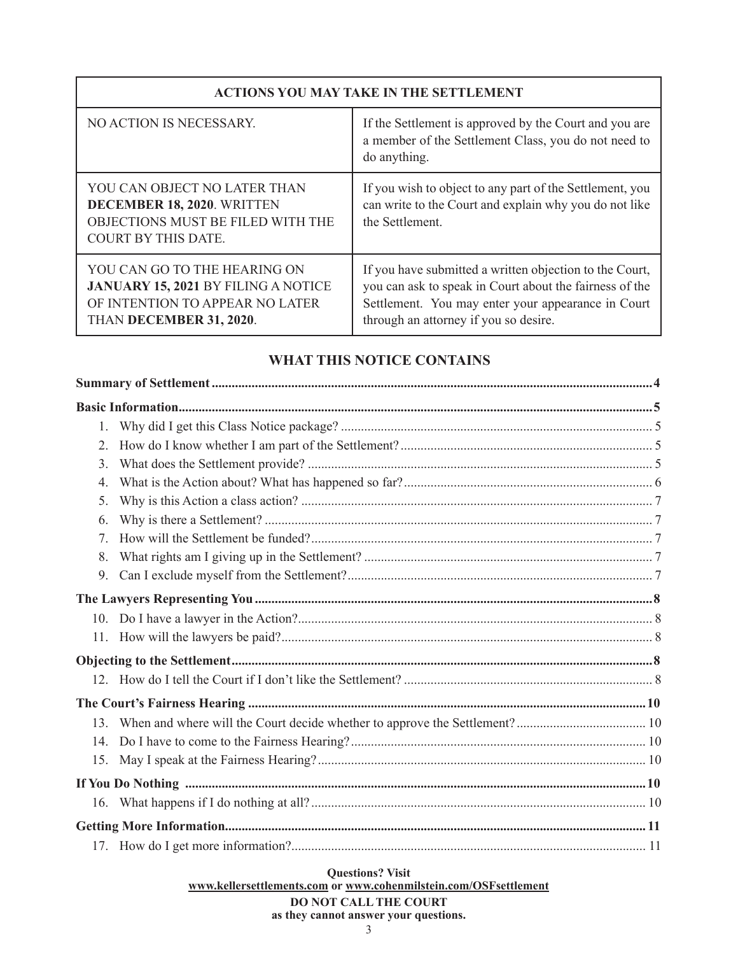# **ACTIONS YOU MAY TAKE IN THE SETTLEMENT**

| NO ACTION IS NECESSARY.                                                                                                                  | If the Settlement is approved by the Court and you are<br>a member of the Settlement Class, you do not need to<br>do anything.                                                                                    |  |
|------------------------------------------------------------------------------------------------------------------------------------------|-------------------------------------------------------------------------------------------------------------------------------------------------------------------------------------------------------------------|--|
| YOU CAN OBJECT NO LATER THAN<br>DECEMBER 18, 2020. WRITTEN<br>OBJECTIONS MUST BE FILED WITH THE<br>COURT BY THIS DATE.                   | If you wish to object to any part of the Settlement, you<br>can write to the Court and explain why you do not like<br>the Settlement.                                                                             |  |
| YOU CAN GO TO THE HEARING ON<br><b>JANUARY 15, 2021 BY FILING A NOTICE</b><br>OF INTENTION TO APPEAR NO LATER<br>THAN DECEMBER 31, 2020. | If you have submitted a written objection to the Court,<br>you can ask to speak in Court about the fairness of the<br>Settlement. You may enter your appearance in Court<br>through an attorney if you so desire. |  |

# **WHAT THIS NOTICE CONTAINS**

| 1.  |  |
|-----|--|
| 2.  |  |
| 3.  |  |
| 4.  |  |
| 5.  |  |
| 6.  |  |
| 7.  |  |
| 8.  |  |
| 9.  |  |
|     |  |
|     |  |
|     |  |
|     |  |
|     |  |
|     |  |
|     |  |
|     |  |
| 15. |  |
|     |  |
|     |  |
|     |  |
|     |  |

**Questions? Visit www.kellersettlements.com or www.cohenmilstein.com/OSFsettlement DO NOT CALL THE COURT**

# **as they cannot answer your questions.**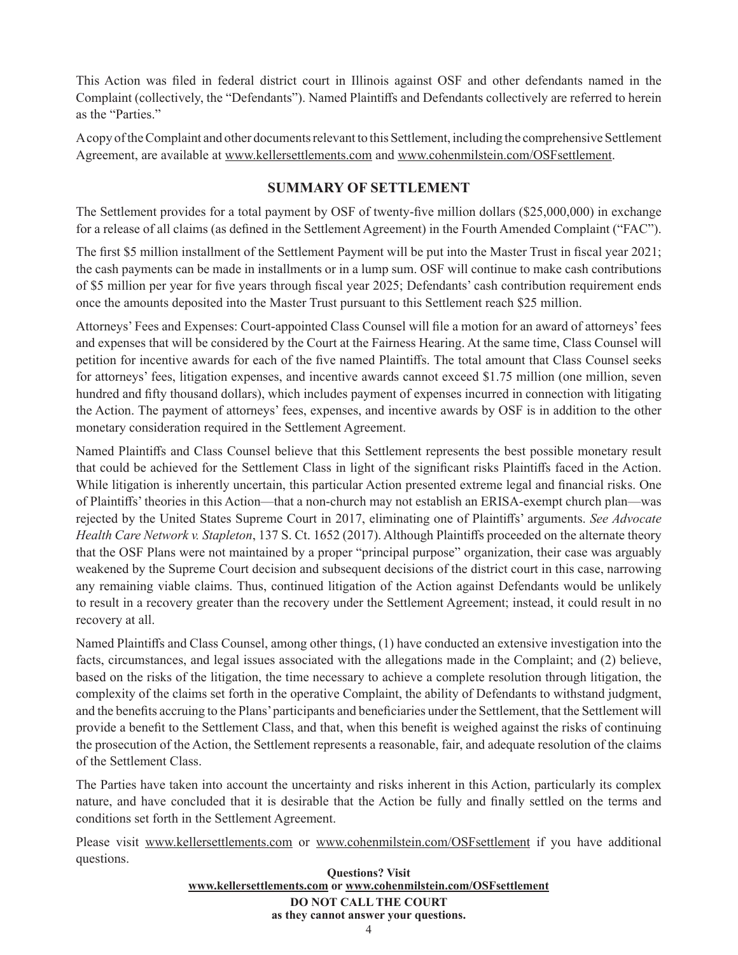This Action was filed in federal district court in Illinois against OSF and other defendants named in the Complaint (collectively, the "Defendants"). Named Plaintiffs and Defendants collectively are referred to herein as the "Parties."

A copy of the Complaint and other documents relevant to this Settlement, including the comprehensive Settlement Agreement, are available at www.kellersettlements.com and www.cohenmilstein.com/OSFsettlement.

# **SUMMARY OF SETTLEMENT**

The Settlement provides for a total payment by OSF of twenty-five million dollars (\$25,000,000) in exchange for a release of all claims (as defined in the Settlement Agreement) in the Fourth Amended Complaint ("FAC").

The first \$5 million installment of the Settlement Payment will be put into the Master Trust in fiscal year 2021; the cash payments can be made in installments or in a lump sum. OSF will continue to make cash contributions of \$5 million per year for five years through fiscal year 2025; Defendants' cash contribution requirement ends once the amounts deposited into the Master Trust pursuant to this Settlement reach \$25 million.

Attorneys' Fees and Expenses: Court-appointed Class Counsel will file a motion for an award of attorneys' fees and expenses that will be considered by the Court at the Fairness Hearing. At the same time, Class Counsel will petition for incentive awards for each of the five named Plaintiffs. The total amount that Class Counsel seeks for attorneys' fees, litigation expenses, and incentive awards cannot exceed \$1.75 million (one million, seven hundred and fifty thousand dollars), which includes payment of expenses incurred in connection with litigating the Action. The payment of attorneys' fees, expenses, and incentive awards by OSF is in addition to the other monetary consideration required in the Settlement Agreement.

Named Plaintiffs and Class Counsel believe that this Settlement represents the best possible monetary result that could be achieved for the Settlement Class in light of the significant risks Plaintiffs faced in the Action. While litigation is inherently uncertain, this particular Action presented extreme legal and financial risks. One of Plaintiffs' theories in this Action—that a non-church may not establish an ERISA-exempt church plan—was rejected by the United States Supreme Court in 2017, eliminating one of Plaintiffs' arguments. *See Advocate Health Care Network v. Stapleton*, 137 S. Ct. 1652 (2017). Although Plaintiffs proceeded on the alternate theory that the OSF Plans were not maintained by a proper "principal purpose" organization, their case was arguably weakened by the Supreme Court decision and subsequent decisions of the district court in this case, narrowing any remaining viable claims. Thus, continued litigation of the Action against Defendants would be unlikely to result in a recovery greater than the recovery under the Settlement Agreement; instead, it could result in no recovery at all.

Named Plaintiffs and Class Counsel, among other things, (1) have conducted an extensive investigation into the facts, circumstances, and legal issues associated with the allegations made in the Complaint; and (2) believe, based on the risks of the litigation, the time necessary to achieve a complete resolution through litigation, the complexity of the claims set forth in the operative Complaint, the ability of Defendants to withstand judgment, and the benefits accruing to the Plans' participants and beneficiaries under the Settlement, that the Settlement will provide a benefit to the Settlement Class, and that, when this benefit is weighed against the risks of continuing the prosecution of the Action, the Settlement represents a reasonable, fair, and adequate resolution of the claims of the Settlement Class.

The Parties have taken into account the uncertainty and risks inherent in this Action, particularly its complex nature, and have concluded that it is desirable that the Action be fully and finally settled on the terms and conditions set forth in the Settlement Agreement.

Please visit www.kellersettlements.com or www.cohenmilstein.com/OSFsettlement if you have additional questions.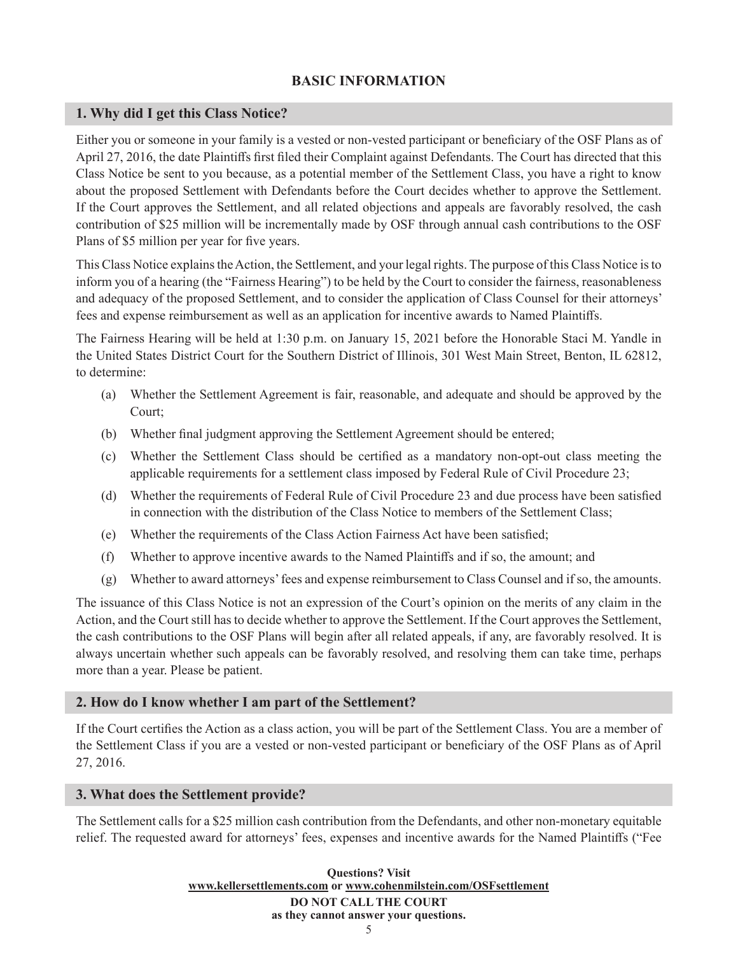# **BASIC INFORMATION**

# **1. Why did I get this Class Notice?**

Either you or someone in your family is a vested or non-vested participant or beneficiary of the OSF Plans as of April 27, 2016, the date Plaintiffs first filed their Complaint against Defendants. The Court has directed that this Class Notice be sent to you because, as a potential member of the Settlement Class, you have a right to know about the proposed Settlement with Defendants before the Court decides whether to approve the Settlement. If the Court approves the Settlement, and all related objections and appeals are favorably resolved, the cash contribution of \$25 million will be incrementally made by OSF through annual cash contributions to the OSF Plans of \$5 million per year for five years.

This Class Notice explains the Action, the Settlement, and your legal rights. The purpose of this Class Notice is to inform you of a hearing (the "Fairness Hearing") to be held by the Court to consider the fairness, reasonableness and adequacy of the proposed Settlement, and to consider the application of Class Counsel for their attorneys' fees and expense reimbursement as well as an application for incentive awards to Named Plaintiffs.

The Fairness Hearing will be held at 1:30 p.m. on January 15, 2021 before the Honorable Staci M. Yandle in the United States District Court for the Southern District of Illinois, 301 West Main Street, Benton, IL 62812, to determine:

- (a) Whether the Settlement Agreement is fair, reasonable, and adequate and should be approved by the Court;
- (b) Whether final judgment approving the Settlement Agreement should be entered;
- (c) Whether the Settlement Class should be certified as a mandatory non-opt-out class meeting the applicable requirements for a settlement class imposed by Federal Rule of Civil Procedure 23;
- (d) Whether the requirements of Federal Rule of Civil Procedure 23 and due process have been satisfied in connection with the distribution of the Class Notice to members of the Settlement Class;
- (e) Whether the requirements of the Class Action Fairness Act have been satisfied;
- (f) Whether to approve incentive awards to the Named Plaintiffs and if so, the amount; and
- (g) Whether to award attorneys' fees and expense reimbursement to Class Counsel and if so, the amounts.

The issuance of this Class Notice is not an expression of the Court's opinion on the merits of any claim in the Action, and the Court still has to decide whether to approve the Settlement. If the Court approves the Settlement, the cash contributions to the OSF Plans will begin after all related appeals, if any, are favorably resolved. It is always uncertain whether such appeals can be favorably resolved, and resolving them can take time, perhaps more than a year. Please be patient.

## **2. How do I know whether I am part of the Settlement?**

If the Court certifies the Action as a class action, you will be part of the Settlement Class. You are a member of the Settlement Class if you are a vested or non-vested participant or beneficiary of the OSF Plans as of April 27, 2016.

#### **3. What does the Settlement provide?**

The Settlement calls for a \$25 million cash contribution from the Defendants, and other non-monetary equitable relief. The requested award for attorneys' fees, expenses and incentive awards for the Named Plaintiffs ("Fee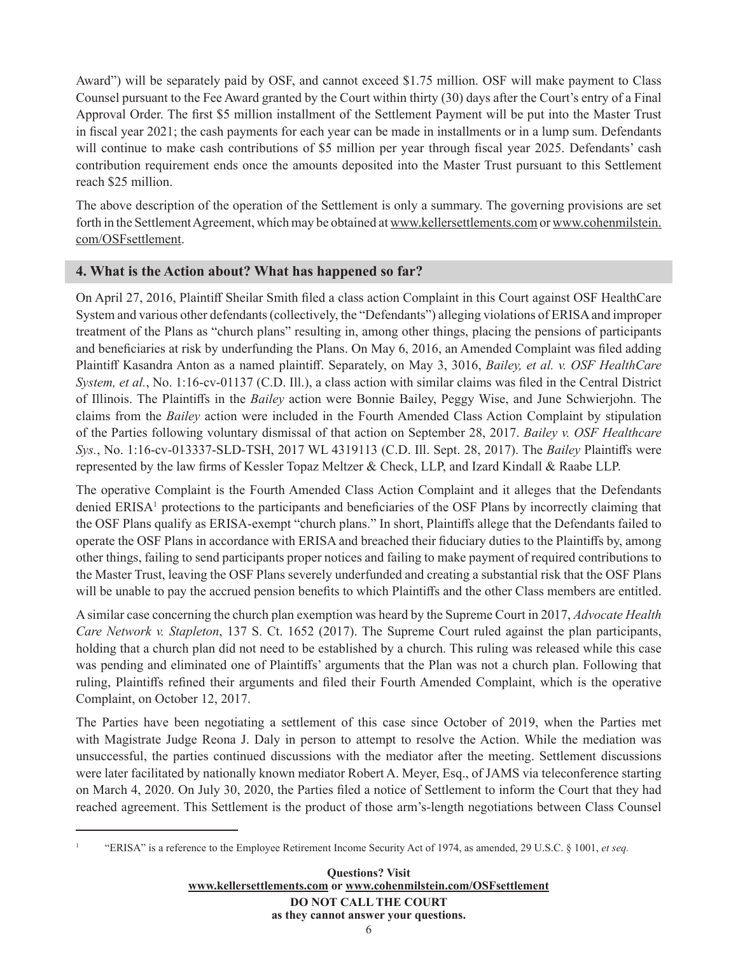Award") will be separately paid by OSF, and cannot exceed \$1.75 million. OSF will make payment to Class Counsel pursuant to the Fee Award granted by the Court within thirty (30) days after the Court's entry of a Final Approval Order. The first \$5 million installment of the Settlement Payment will be put into the Master Trust in fiscal year 2021; the cash payments for each year can be made in installments or in a lump sum. Defendants will continue to make cash contributions of \$5 million per year through fiscal year 2025. Defendants' cash contribution requirement ends once the amounts deposited into the Master Trust pursuant to this Settlement reach \$25 million.

The above description of the operation of the Settlement is only a summary. The governing provisions are set forth in the Settlement Agreement, which may be obtained at www.kellersettlements.com or www.cohenmilstein. com/OSFsettlement.

# **4. What is the Action about? What has happened so far?**

On April 27, 2016, Plaintiff Sheilar Smith filed a class action Complaint in this Court against OSF HealthCare System and various other defendants (collectively, the "Defendants") alleging violations of ERISA and improper treatment of the Plans as "church plans" resulting in, among other things, placing the pensions of participants and beneficiaries at risk by underfunding the Plans. On May 6, 2016, an Amended Complaint was filed adding Plaintiff Kasandra Anton as a named plaintiff. Separately, on May 3, 3016, *Bailey, et al. v. OSF HealthCare System, et al.*, No. 1:16-cv-01137 (C.D. Ill.), a class action with similar claims was filed in the Central District of Illinois. The Plaintiffs in the *Bailey* action were Bonnie Bailey, Peggy Wise, and June Schwierjohn. The claims from the *Bailey* action were included in the Fourth Amended Class Action Complaint by stipulation of the Parties following voluntary dismissal of that action on September 28, 2017. *Bailey v. OSF Healthcare Sys.*, No. 1:16-cv-013337-SLD-TSH, 2017 WL 4319113 (C.D. Ill. Sept. 28, 2017). The *Bailey* Plaintiffs were represented by the law firms of Kessler Topaz Meltzer & Check, LLP, and Izard Kindall & Raabe LLP.

The operative Complaint is the Fourth Amended Class Action Complaint and it alleges that the Defendants denied ERISA<sup>1</sup> protections to the participants and beneficiaries of the OSF Plans by incorrectly claiming that the OSF Plans qualify as ERISA-exempt "church plans." In short, Plaintiffs allege that the Defendants failed to operate the OSF Plans in accordance with ERISA and breached their fiduciary duties to the Plaintiffs by, among other things, failing to send participants proper notices and failing to make payment of required contributions to the Master Trust, leaving the OSF Plans severely underfunded and creating a substantial risk that the OSF Plans will be unable to pay the accrued pension benefits to which Plaintiffs and the other Class members are entitled.

A similar case concerning the church plan exemption was heard by the Supreme Court in 2017, *Advocate Health Care Network v. Stapleton*, 137 S. Ct. 1652 (2017). The Supreme Court ruled against the plan participants, holding that a church plan did not need to be established by a church. This ruling was released while this case was pending and eliminated one of Plaintiffs' arguments that the Plan was not a church plan. Following that ruling, Plaintiffs refined their arguments and filed their Fourth Amended Complaint, which is the operative Complaint, on October 12, 2017.

The Parties have been negotiating a settlement of this case since October of 2019, when the Parties met with Magistrate Judge Reona J. Daly in person to attempt to resolve the Action. While the mediation was unsuccessful, the parties continued discussions with the mediator after the meeting. Settlement discussions were later facilitated by nationally known mediator Robert A. Meyer, Esq., of JAMS via teleconference starting on March 4, 2020. On July 30, 2020, the Parties filed a notice of Settlement to inform the Court that they had reached agreement. This Settlement is the product of those arm's-length negotiations between Class Counsel

<sup>1</sup> "ERISA" is a reference to the Employee Retirement Income Security Act of 1974, as amended, 29 U.S.C. § 1001, *et seq.*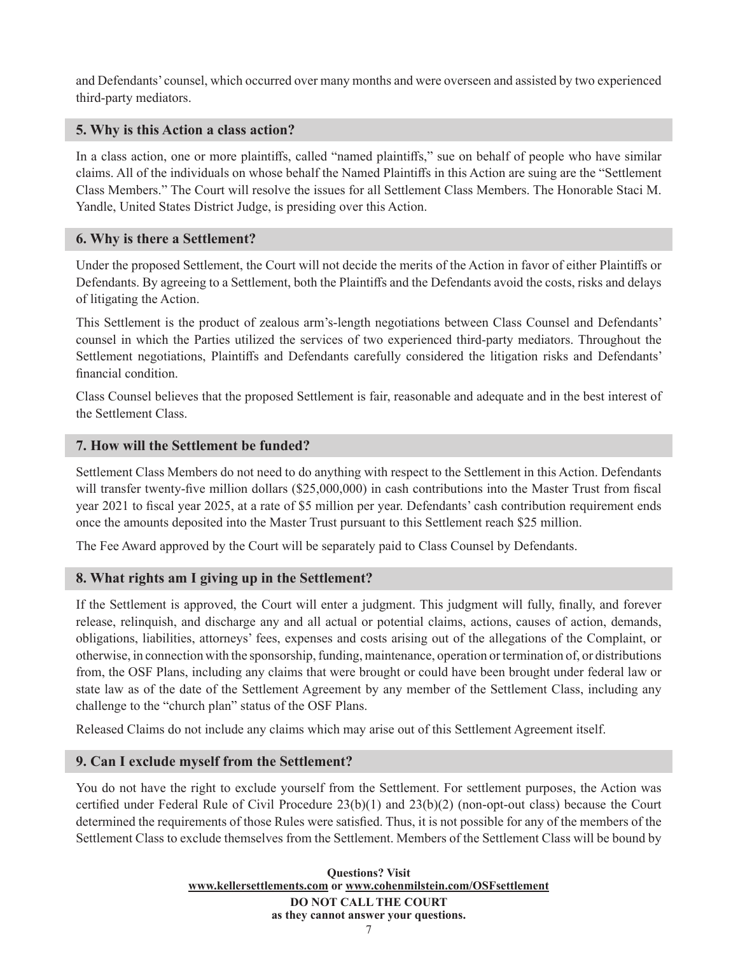and Defendants' counsel, which occurred over many months and were overseen and assisted by two experienced third-party mediators.

#### **5. Why is this Action a class action?**

In a class action, one or more plaintiffs, called "named plaintiffs," sue on behalf of people who have similar claims. All of the individuals on whose behalf the Named Plaintiffs in this Action are suing are the "Settlement Class Members." The Court will resolve the issues for all Settlement Class Members. The Honorable Staci M. Yandle, United States District Judge, is presiding over this Action.

### **6. Why is there a Settlement?**

Under the proposed Settlement, the Court will not decide the merits of the Action in favor of either Plaintiffs or Defendants. By agreeing to a Settlement, both the Plaintiffs and the Defendants avoid the costs, risks and delays of litigating the Action.

This Settlement is the product of zealous arm's-length negotiations between Class Counsel and Defendants' counsel in which the Parties utilized the services of two experienced third-party mediators. Throughout the Settlement negotiations, Plaintiffs and Defendants carefully considered the litigation risks and Defendants' financial condition.

Class Counsel believes that the proposed Settlement is fair, reasonable and adequate and in the best interest of the Settlement Class.

### **7. How will the Settlement be funded?**

Settlement Class Members do not need to do anything with respect to the Settlement in this Action. Defendants will transfer twenty-five million dollars (\$25,000,000) in cash contributions into the Master Trust from fiscal year 2021 to fiscal year 2025, at a rate of \$5 million per year. Defendants' cash contribution requirement ends once the amounts deposited into the Master Trust pursuant to this Settlement reach \$25 million.

The Fee Award approved by the Court will be separately paid to Class Counsel by Defendants.

## **8. What rights am I giving up in the Settlement?**

If the Settlement is approved, the Court will enter a judgment. This judgment will fully, finally, and forever release, relinquish, and discharge any and all actual or potential claims, actions, causes of action, demands, obligations, liabilities, attorneys' fees, expenses and costs arising out of the allegations of the Complaint, or otherwise, in connection with the sponsorship, funding, maintenance, operation or termination of, or distributions from, the OSF Plans, including any claims that were brought or could have been brought under federal law or state law as of the date of the Settlement Agreement by any member of the Settlement Class, including any challenge to the "church plan" status of the OSF Plans.

Released Claims do not include any claims which may arise out of this Settlement Agreement itself.

#### **9. Can I exclude myself from the Settlement?**

You do not have the right to exclude yourself from the Settlement. For settlement purposes, the Action was certified under Federal Rule of Civil Procedure 23(b)(1) and 23(b)(2) (non-opt-out class) because the Court determined the requirements of those Rules were satisfied. Thus, it is not possible for any of the members of the Settlement Class to exclude themselves from the Settlement. Members of the Settlement Class will be bound by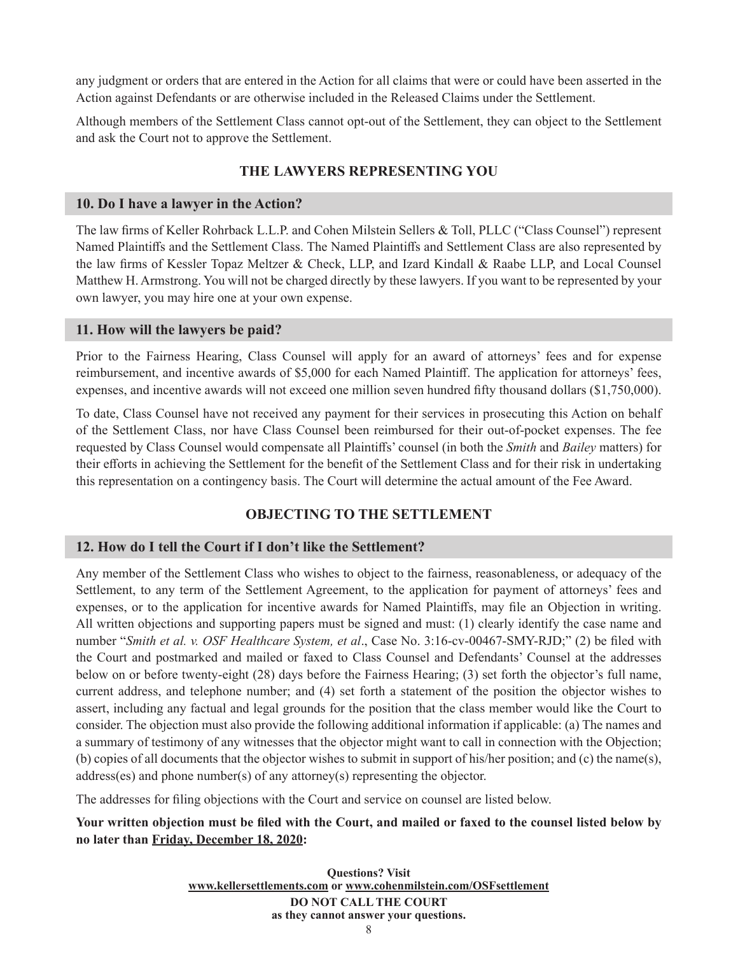any judgment or orders that are entered in the Action for all claims that were or could have been asserted in the Action against Defendants or are otherwise included in the Released Claims under the Settlement.

Although members of the Settlement Class cannot opt-out of the Settlement, they can object to the Settlement and ask the Court not to approve the Settlement.

# **THE LAWYERS REPRESENTING YOU**

### **10. Do I have a lawyer in the Action?**

The law firms of Keller Rohrback L.L.P. and Cohen Milstein Sellers & Toll, PLLC ("Class Counsel") represent Named Plaintiffs and the Settlement Class. The Named Plaintiffs and Settlement Class are also represented by the law firms of Kessler Topaz Meltzer & Check, LLP, and Izard Kindall & Raabe LLP, and Local Counsel Matthew H. Armstrong. You will not be charged directly by these lawyers. If you want to be represented by your own lawyer, you may hire one at your own expense.

### **11. How will the lawyers be paid?**

Prior to the Fairness Hearing, Class Counsel will apply for an award of attorneys' fees and for expense reimbursement, and incentive awards of \$5,000 for each Named Plaintiff. The application for attorneys' fees, expenses, and incentive awards will not exceed one million seven hundred fifty thousand dollars (\$1,750,000).

To date, Class Counsel have not received any payment for their services in prosecuting this Action on behalf of the Settlement Class, nor have Class Counsel been reimbursed for their out-of-pocket expenses. The fee requested by Class Counsel would compensate all Plaintiffs' counsel (in both the *Smith* and *Bailey* matters) for their efforts in achieving the Settlement for the benefit of the Settlement Class and for their risk in undertaking this representation on a contingency basis. The Court will determine the actual amount of the Fee Award.

# **OBJECTING TO THE SETTLEMENT**

## **12. How do I tell the Court if I don't like the Settlement?**

Any member of the Settlement Class who wishes to object to the fairness, reasonableness, or adequacy of the Settlement, to any term of the Settlement Agreement, to the application for payment of attorneys' fees and expenses, or to the application for incentive awards for Named Plaintiffs, may file an Objection in writing. All written objections and supporting papers must be signed and must: (1) clearly identify the case name and number "*Smith et al. v. OSF Healthcare System, et al*., Case No. 3:16-cv-00467-SMY-RJD;" (2) be filed with the Court and postmarked and mailed or faxed to Class Counsel and Defendants' Counsel at the addresses below on or before twenty-eight (28) days before the Fairness Hearing; (3) set forth the objector's full name, current address, and telephone number; and (4) set forth a statement of the position the objector wishes to assert, including any factual and legal grounds for the position that the class member would like the Court to consider. The objection must also provide the following additional information if applicable: (a) The names and a summary of testimony of any witnesses that the objector might want to call in connection with the Objection; (b) copies of all documents that the objector wishes to submit in support of his/her position; and (c) the name(s), address(es) and phone number(s) of any attorney(s) representing the objector.

The addresses for filing objections with the Court and service on counsel are listed below.

# **Your written objection must be filed with the Court, and mailed or faxed to the counsel listed below by no later than Friday, December 18, 2020:**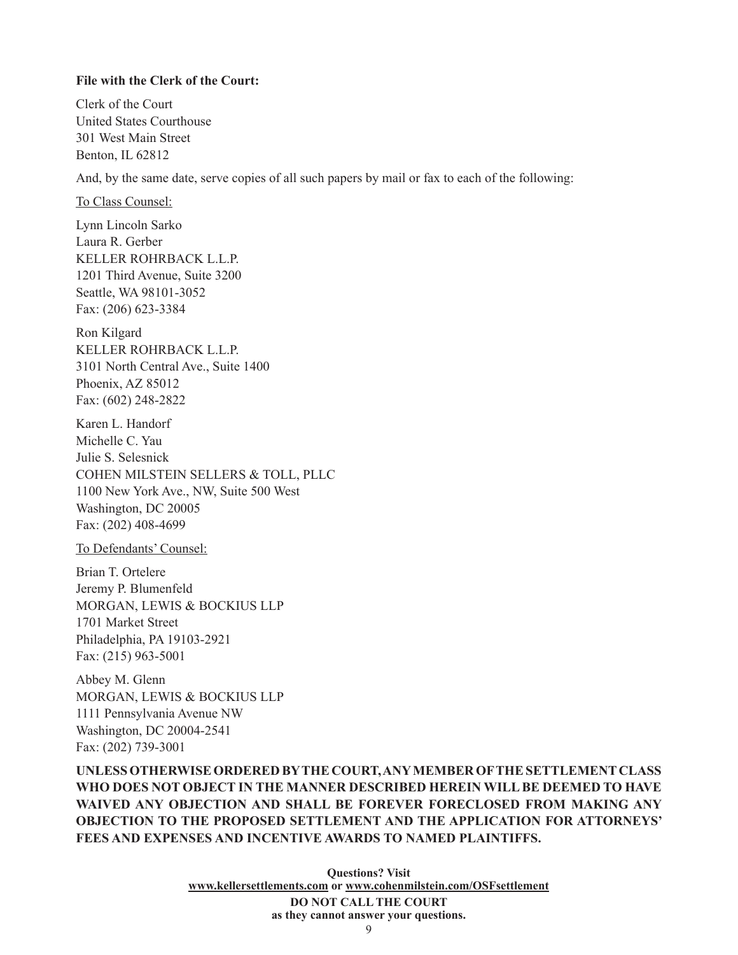#### **File with the Clerk of the Court:**

Clerk of the Court United States Courthouse 301 West Main Street Benton, IL 62812

And, by the same date, serve copies of all such papers by mail or fax to each of the following:

To Class Counsel:

Lynn Lincoln Sarko Laura R. Gerber KELLER ROHRBACK L.L.P. 1201 Third Avenue, Suite 3200 Seattle, WA 98101-3052 Fax: (206) 623-3384

Ron Kilgard KELLER ROHRBACK L.L.P. 3101 North Central Ave., Suite 1400 Phoenix, AZ 85012 Fax: (602) 248-2822

Karen L. Handorf Michelle C. Yau Julie S. Selesnick COHEN MILSTEIN SELLERS & TOLL, PLLC 1100 New York Ave., NW, Suite 500 West Washington, DC 20005 Fax: (202) 408-4699

To Defendants' Counsel:

Brian T. Ortelere Jeremy P. Blumenfeld MORGAN, LEWIS & BOCKIUS LLP 1701 Market Street Philadelphia, PA 19103-2921 Fax: (215) 963-5001

Abbey M. Glenn MORGAN, LEWIS & BOCKIUS LLP 1111 Pennsylvania Avenue NW Washington, DC 20004-2541 Fax: (202) 739-3001

**UNLESS OTHERWISE ORDERED BY THE COURT, ANY MEMBER OF THE SETTLEMENT CLASS WHO DOES NOT OBJECT IN THE MANNER DESCRIBED HEREIN WILL BE DEEMED TO HAVE WAIVED ANY OBJECTION AND SHALL BE FOREVER FORECLOSED FROM MAKING ANY OBJECTION TO THE PROPOSED SETTLEMENT AND THE APPLICATION FOR ATTORNEYS' FEES AND EXPENSES AND INCENTIVE AWARDS TO NAMED PLAINTIFFS.**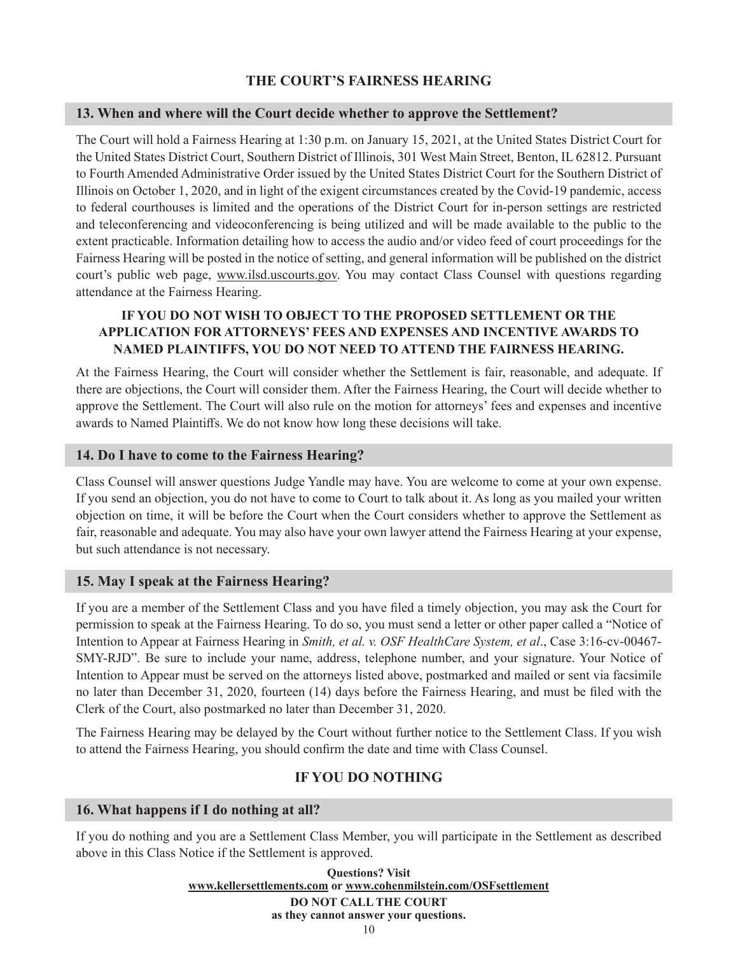# **THE COURT'S FAIRNESS HEARING**

### **13. When and where will the Court decide whether to approve the Settlement?**

The Court will hold a Fairness Hearing at 1:30 p.m. on January 15, 2021, at the United States District Court for the United States District Court, Southern District of Illinois, 301 West Main Street, Benton, IL 62812. Pursuant to Fourth Amended Administrative Order issued by the United States District Court for the Southern District of Illinois on October 1, 2020, and in light of the exigent circumstances created by the Covid-19 pandemic, access to federal courthouses is limited and the operations of the District Court for in-person settings are restricted and teleconferencing and videoconferencing is being utilized and will be made available to the public to the extent practicable. Information detailing how to access the audio and/or video feed of court proceedings for the Fairness Hearing will be posted in the notice of setting, and general information will be published on the district court's public web page, www.ilsd.uscourts.gov. You may contact Class Counsel with questions regarding attendance at the Fairness Hearing.

# **IF YOU DO NOT WISH TO OBJECT TO THE PROPOSED SETTLEMENT OR THE APPLICATION FOR ATTORNEYS' FEES AND EXPENSES AND INCENTIVE AWARDS TO NAMED PLAINTIFFS, YOU DO NOT NEED TO ATTEND THE FAIRNESS HEARING.**

At the Fairness Hearing, the Court will consider whether the Settlement is fair, reasonable, and adequate. If there are objections, the Court will consider them. After the Fairness Hearing, the Court will decide whether to approve the Settlement. The Court will also rule on the motion for attorneys' fees and expenses and incentive awards to Named Plaintiffs. We do not know how long these decisions will take.

### **14. Do I have to come to the Fairness Hearing?**

Class Counsel will answer questions Judge Yandle may have. You are welcome to come at your own expense. If you send an objection, you do not have to come to Court to talk about it. As long as you mailed your written objection on time, it will be before the Court when the Court considers whether to approve the Settlement as fair, reasonable and adequate. You may also have your own lawyer attend the Fairness Hearing at your expense, but such attendance is not necessary.

## **15. May I speak at the Fairness Hearing?**

If you are a member of the Settlement Class and you have filed a timely objection, you may ask the Court for permission to speak at the Fairness Hearing. To do so, you must send a letter or other paper called a "Notice of Intention to Appear at Fairness Hearing in *Smith, et al. v. OSF HealthCare System, et al*., Case 3:16-cv-00467- SMY-RJD". Be sure to include your name, address, telephone number, and your signature. Your Notice of Intention to Appear must be served on the attorneys listed above, postmarked and mailed or sent via facsimile no later than December 31, 2020, fourteen (14) days before the Fairness Hearing, and must be filed with the Clerk of the Court, also postmarked no later than December 31, 2020.

The Fairness Hearing may be delayed by the Court without further notice to the Settlement Class. If you wish to attend the Fairness Hearing, you should confirm the date and time with Class Counsel.

# **IF YOU DO NOTHING**

## **16. What happens if I do nothing at all?**

If you do nothing and you are a Settlement Class Member, you will participate in the Settlement as described above in this Class Notice if the Settlement is approved.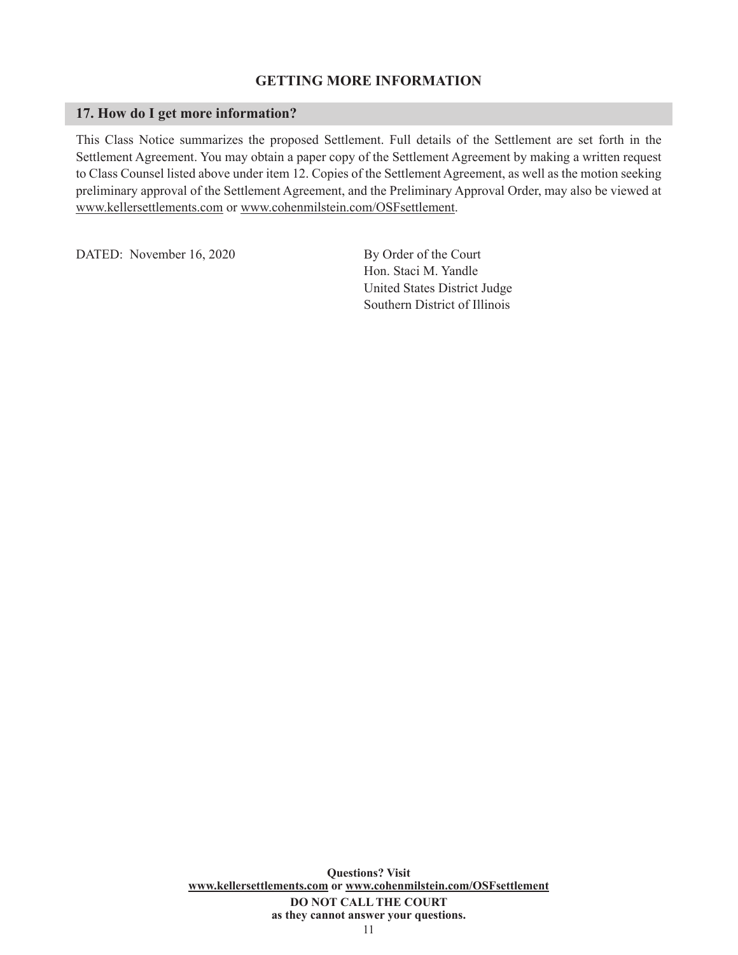### **GETTING MORE INFORMATION**

#### **17. How do I get more information?**

This Class Notice summarizes the proposed Settlement. Full details of the Settlement are set forth in the Settlement Agreement. You may obtain a paper copy of the Settlement Agreement by making a written request to Class Counsel listed above under item 12. Copies of the Settlement Agreement, as well as the motion seeking preliminary approval of the Settlement Agreement, and the Preliminary Approval Order, may also be viewed at www.kellersettlements.com or www.cohenmilstein.com/OSFsettlement.

DATED: November 16, 2020 By Order of the Court

Hon. Staci M. Yandle United States District Judge Southern District of Illinois